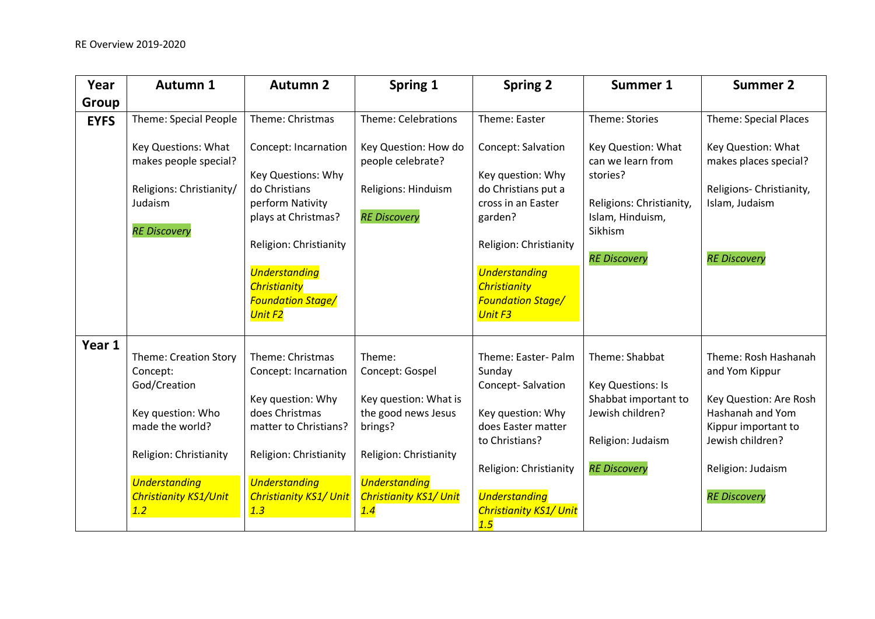| Year        | Autumn 1                                                                                                                                                                                  | <b>Autumn 2</b>                                                                                                                                                                                                               | Spring 1                                                                                                                                                                       | <b>Spring 2</b>                                                                                                                                                                                                        | Summer 1                                                                                                                              | <b>Summer 2</b>                                                                                                                                                             |
|-------------|-------------------------------------------------------------------------------------------------------------------------------------------------------------------------------------------|-------------------------------------------------------------------------------------------------------------------------------------------------------------------------------------------------------------------------------|--------------------------------------------------------------------------------------------------------------------------------------------------------------------------------|------------------------------------------------------------------------------------------------------------------------------------------------------------------------------------------------------------------------|---------------------------------------------------------------------------------------------------------------------------------------|-----------------------------------------------------------------------------------------------------------------------------------------------------------------------------|
| Group       |                                                                                                                                                                                           |                                                                                                                                                                                                                               |                                                                                                                                                                                |                                                                                                                                                                                                                        |                                                                                                                                       |                                                                                                                                                                             |
| <b>EYFS</b> | Theme: Special People                                                                                                                                                                     | Theme: Christmas                                                                                                                                                                                                              | Theme: Celebrations                                                                                                                                                            | Theme: Easter                                                                                                                                                                                                          | Theme: Stories                                                                                                                        | <b>Theme: Special Places</b>                                                                                                                                                |
|             | Key Questions: What<br>makes people special?<br>Religions: Christianity/<br>Judaism<br><b>RE Discovery</b>                                                                                | Concept: Incarnation<br>Key Questions: Why<br>do Christians<br>perform Nativity<br>plays at Christmas?<br>Religion: Christianity<br><b>Understanding</b><br><b>Christianity</b><br><b>Foundation Stage/</b><br><b>Unit F2</b> | Key Question: How do<br>people celebrate?<br>Religions: Hinduism<br><b>RE Discovery</b>                                                                                        | Concept: Salvation<br>Key question: Why<br>do Christians put a<br>cross in an Easter<br>garden?<br>Religion: Christianity<br><b>Understanding</b><br><b>Christianity</b><br><b>Foundation Stage/</b><br><b>Unit F3</b> | Key Question: What<br>can we learn from<br>stories?<br>Religions: Christianity,<br>Islam, Hinduism,<br>Sikhism<br><b>RE Discovery</b> | Key Question: What<br>makes places special?<br>Religions- Christianity,<br>Islam, Judaism<br><b>RE Discovery</b>                                                            |
| Year 1      | <b>Theme: Creation Story</b><br>Concept:<br>God/Creation<br>Key question: Who<br>made the world?<br>Religion: Christianity<br><b>Understanding</b><br><b>Christianity KS1/Unit</b><br>1.2 | Theme: Christmas<br>Concept: Incarnation<br>Key question: Why<br>does Christmas<br>matter to Christians?<br>Religion: Christianity<br><b>Understanding</b><br><b>Christianity KS1/ Unit</b><br>1.3                            | Theme:<br>Concept: Gospel<br>Key question: What is<br>the good news Jesus<br>brings?<br>Religion: Christianity<br><b>Understanding</b><br><b>Christianity KS1/ Unit</b><br>1.4 | Theme: Easter- Palm<br>Sunday<br>Concept-Salvation<br>Key question: Why<br>does Easter matter<br>to Christians?<br>Religion: Christianity<br><b>Understanding</b><br><b>Christianity KS1/ Unit</b><br>1.5              | Theme: Shabbat<br>Key Questions: Is<br>Shabbat important to<br>Jewish children?<br>Religion: Judaism<br><b>RE Discovery</b>           | Theme: Rosh Hashanah<br>and Yom Kippur<br>Key Question: Are Rosh<br>Hashanah and Yom<br>Kippur important to<br>Jewish children?<br>Religion: Judaism<br><b>RE Discovery</b> |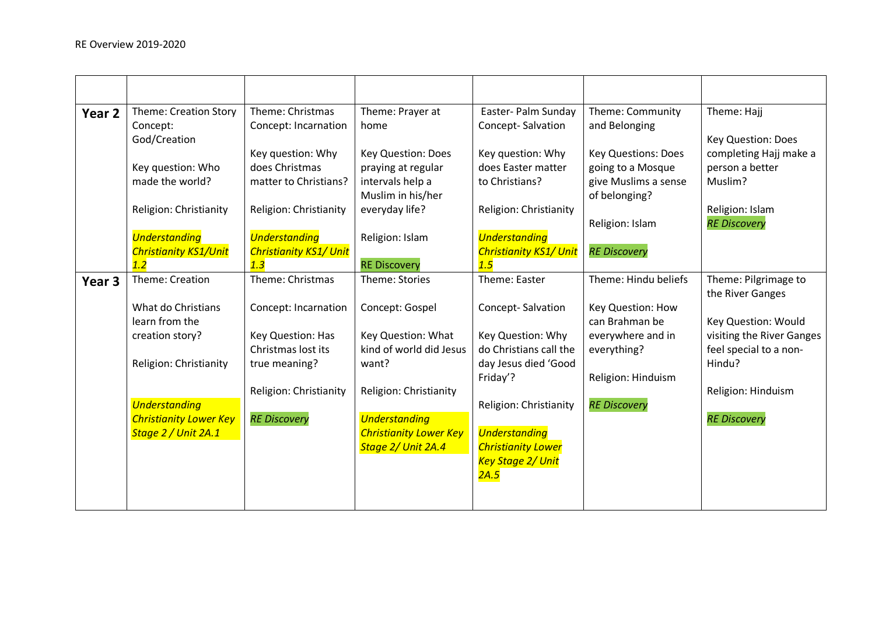| Year 2            | <b>Theme: Creation Story</b><br>Concept:<br>God/Creation    | Theme: Christmas<br>Concept: Incarnation                     | Theme: Prayer at<br>home                                            | Easter- Palm Sunday<br>Concept-Salvation                      | Theme: Community<br>and Belonging                                       | Theme: Hajj<br>Key Question: Does                    |
|-------------------|-------------------------------------------------------------|--------------------------------------------------------------|---------------------------------------------------------------------|---------------------------------------------------------------|-------------------------------------------------------------------------|------------------------------------------------------|
|                   | Key question: Who<br>made the world?                        | Key question: Why<br>does Christmas<br>matter to Christians? | <b>Key Question: Does</b><br>praying at regular<br>intervals help a | Key question: Why<br>does Easter matter<br>to Christians?     | <b>Key Questions: Does</b><br>going to a Mosque<br>give Muslims a sense | completing Hajj make a<br>person a better<br>Muslim? |
|                   | Religion: Christianity                                      | Religion: Christianity                                       | Muslim in his/her<br>everyday life?                                 | Religion: Christianity                                        | of belonging?<br>Religion: Islam                                        | Religion: Islam<br><b>RE Discovery</b>               |
|                   | <b>Understanding</b><br><b>Christianity KS1/Unit</b><br>1.2 | <b>Understanding</b><br><b>Christianity KS1/ Unit</b><br>1.3 | Religion: Islam<br><b>RE Discovery</b>                              | <b>Understanding</b><br><b>Christianity KS1/ Unit</b><br>1.5  | <b>RE Discovery</b>                                                     |                                                      |
| Year <sub>3</sub> | Theme: Creation                                             | Theme: Christmas                                             | Theme: Stories                                                      | Theme: Easter                                                 | Theme: Hindu beliefs                                                    | Theme: Pilgrimage to<br>the River Ganges             |
|                   | What do Christians<br>learn from the                        | Concept: Incarnation                                         | Concept: Gospel                                                     | Concept-Salvation                                             | Key Question: How<br>can Brahman be                                     | Key Question: Would                                  |
|                   | creation story?                                             | Key Question: Has<br>Christmas lost its                      | Key Question: What<br>kind of world did Jesus                       | Key Question: Why<br>do Christians call the                   | everywhere and in<br>everything?                                        | visiting the River Ganges<br>feel special to a non-  |
|                   | Religion: Christianity                                      | true meaning?                                                | want?                                                               | day Jesus died 'Good<br>Friday'?                              | Religion: Hinduism                                                      | Hindu?                                               |
|                   | <b>Understanding</b>                                        | Religion: Christianity                                       | Religion: Christianity                                              | Religion: Christianity                                        | <b>RE Discovery</b>                                                     | Religion: Hinduism                                   |
|                   | <b>Christianity Lower Key</b><br>Stage 2 / Unit 2A.1        | <b>RE Discovery</b>                                          | <b>Understanding</b><br><b>Christianity Lower Key</b>               | <b>Understanding</b>                                          |                                                                         | <b>RE Discovery</b>                                  |
|                   |                                                             |                                                              | Stage 2/ Unit 2A.4                                                  | <b>Christianity Lower</b><br><b>Key Stage 2/ Unit</b><br>2A.5 |                                                                         |                                                      |
|                   |                                                             |                                                              |                                                                     |                                                               |                                                                         |                                                      |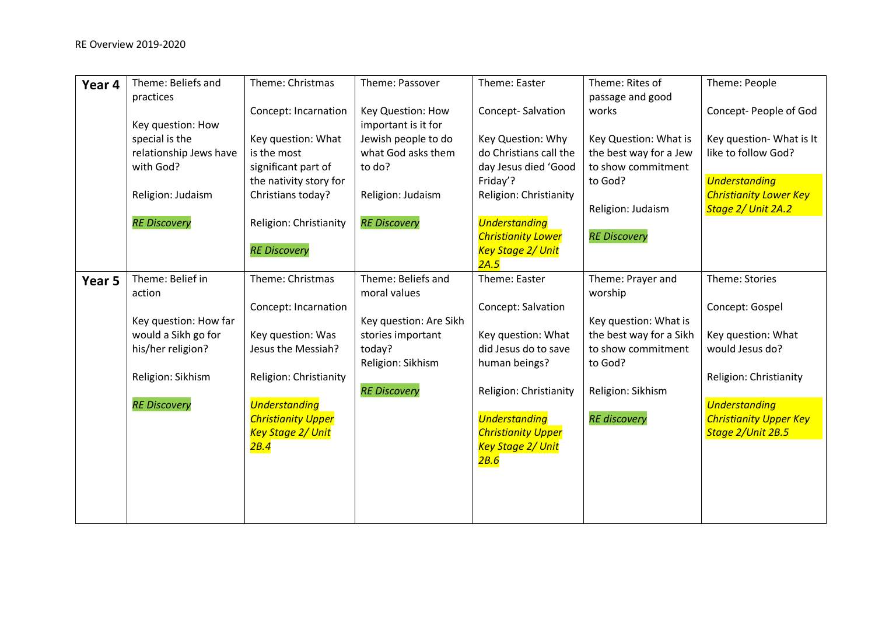| Year 4 | Theme: Beliefs and                       | Theme: Christmas                        | Theme: Passover             | Theme: Easter                              | Theme: Rites of                               | Theme: People                         |
|--------|------------------------------------------|-----------------------------------------|-----------------------------|--------------------------------------------|-----------------------------------------------|---------------------------------------|
|        | practices                                | Concept: Incarnation                    | Key Question: How           | Concept-Salvation                          | passage and good<br>works                     | Concept- People of God                |
|        | Key question: How                        |                                         | important is it for         |                                            |                                               |                                       |
|        | special is the                           | Key question: What                      | Jewish people to do         | Key Question: Why                          | Key Question: What is                         | Key question- What is It              |
|        | relationship Jews have                   | is the most                             | what God asks them          | do Christians call the                     | the best way for a Jew                        | like to follow God?                   |
|        | with God?                                | significant part of                     | to do?                      | day Jesus died 'Good                       | to show commitment                            |                                       |
|        |                                          | the nativity story for                  |                             | Friday'?                                   | to God?                                       | <b>Understanding</b>                  |
|        | Religion: Judaism                        | Christians today?                       | Religion: Judaism           | Religion: Christianity                     |                                               | <b>Christianity Lower Key</b>         |
|        | <b>RE Discovery</b>                      | Religion: Christianity                  | <b>RE Discovery</b>         | <b>Understanding</b>                       | Religion: Judaism                             | Stage 2/ Unit 2A.2                    |
|        |                                          |                                         |                             | <b>Christianity Lower</b>                  | <b>RE Discovery</b>                           |                                       |
|        |                                          | <b>RE Discovery</b>                     |                             | <b>Key Stage 2/ Unit</b>                   |                                               |                                       |
|        |                                          |                                         |                             | 2A.5                                       |                                               |                                       |
| Year 5 | Theme: Belief in                         | Theme: Christmas                        | Theme: Beliefs and          | Theme: Easter                              | Theme: Prayer and                             | Theme: Stories                        |
|        | action                                   |                                         | moral values                |                                            | worship                                       |                                       |
|        |                                          | Concept: Incarnation                    |                             | Concept: Salvation                         |                                               | Concept: Gospel                       |
|        | Key question: How far                    |                                         | Key question: Are Sikh      |                                            | Key question: What is                         |                                       |
|        | would a Sikh go for<br>his/her religion? | Key question: Was<br>Jesus the Messiah? | stories important<br>today? | Key question: What<br>did Jesus do to save | the best way for a Sikh<br>to show commitment | Key question: What<br>would Jesus do? |
|        |                                          |                                         | Religion: Sikhism           | human beings?                              | to God?                                       |                                       |
|        | Religion: Sikhism                        | Religion: Christianity                  |                             |                                            |                                               | Religion: Christianity                |
|        |                                          |                                         | <b>RE Discovery</b>         | Religion: Christianity                     | Religion: Sikhism                             |                                       |
|        | <b>RE Discovery</b>                      | <b>Understanding</b>                    |                             |                                            |                                               | <b>Understanding</b>                  |
|        |                                          | <b>Christianity Upper</b>               |                             | <b>Understanding</b>                       | <b>RE</b> discovery                           | <b>Christianity Upper Key</b>         |
|        |                                          | <b>Key Stage 2/ Unit</b>                |                             | <b>Christianity Upper</b>                  |                                               | Stage 2/Unit 2B.5                     |
|        |                                          | 2B.4                                    |                             | Key Stage 2/ Unit                          |                                               |                                       |
|        |                                          |                                         |                             | 2B.6                                       |                                               |                                       |
|        |                                          |                                         |                             |                                            |                                               |                                       |
|        |                                          |                                         |                             |                                            |                                               |                                       |
|        |                                          |                                         |                             |                                            |                                               |                                       |